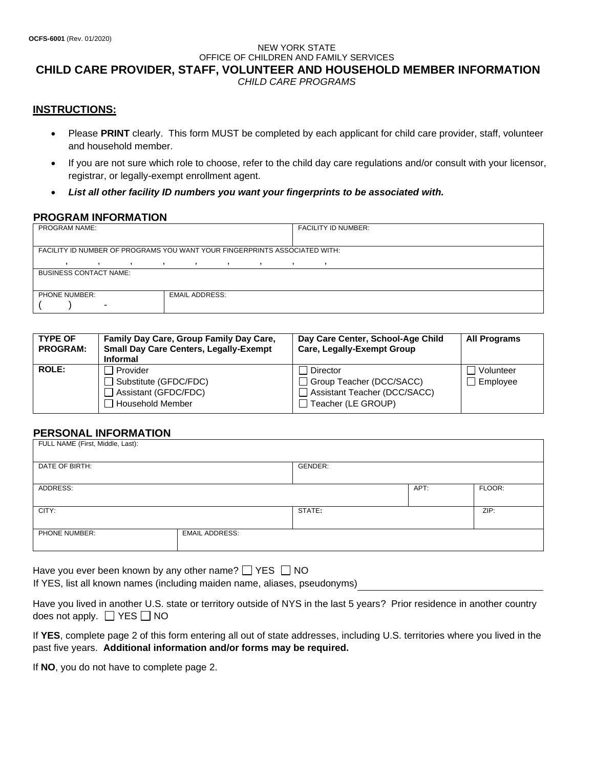### NEW YORK STATE OFFICE OF CHILDREN AND FAMILY SERVICES **CHILD CARE PROVIDER, STAFF, VOLUNTEER AND HOUSEHOLD MEMBER INFORMATION** *CHILD CARE PROGRAMS*

## **INSTRUCTIONS:**

- Please **PRINT** clearly. This form MUST be completed by each applicant for child care provider, staff, volunteer and household member.
- If you are not sure which role to choose, refer to the child day care regulations and/or consult with your licensor, registrar, or legally-exempt enrollment agent.
- *List all other facility ID numbers you want your fingerprints to be associated with.*

# **PROGRAM INFORMATION**

| <b>PROGRAM NAME:</b>                                                       |                          |   |                          |              |                          |         |  | <b>FACILITY ID NUMBER:</b> |
|----------------------------------------------------------------------------|--------------------------|---|--------------------------|--------------|--------------------------|---------|--|----------------------------|
|                                                                            |                          |   |                          |              |                          |         |  |                            |
| FACILITY ID NUMBER OF PROGRAMS YOU WANT YOUR FINGERPRINTS ASSOCIATED WITH: |                          |   |                          |              |                          |         |  |                            |
|                                                                            |                          | , | $\overline{\phantom{a}}$ | $\mathbf{I}$ | $\overline{\phantom{a}}$ | $\cdot$ |  |                            |
| <b>BUSINESS CONTACT NAME:</b>                                              |                          |   |                          |              |                          |         |  |                            |
|                                                                            |                          |   |                          |              |                          |         |  |                            |
| <b>EMAIL ADDRESS:</b><br><b>PHONE NUMBER:</b>                              |                          |   |                          |              |                          |         |  |                            |
|                                                                            | $\overline{\phantom{0}}$ |   |                          |              |                          |         |  |                            |

| <b>TYPE OF</b><br><b>PROGRAM:</b> | Family Day Care, Group Family Day Care,<br><b>Small Day Care Centers, Legally-Exempt</b><br><b>Informal</b> | Day Care Center, School-Age Child<br><b>Care, Legally-Exempt Group</b>                     | <b>All Programs</b>   |
|-----------------------------------|-------------------------------------------------------------------------------------------------------------|--------------------------------------------------------------------------------------------|-----------------------|
| <b>ROLE:</b>                      | Provider<br>Substitute (GFDC/FDC)<br>Assistant (GFDC/FDC)<br>l Household Member                             | Director<br>Group Teacher (DCC/SACC)<br>Assistant Teacher (DCC/SACC)<br>Teacher (LE GROUP) | Volunteer<br>Employee |

## **PERSONAL INFORMATION**

| FULL NAME (First, Middle, Last): |                       |        |      |        |  |
|----------------------------------|-----------------------|--------|------|--------|--|
| DATE OF BIRTH:                   | GENDER:               |        |      |        |  |
| ADDRESS:                         |                       |        | APT: | FLOOR: |  |
| CITY:                            |                       | STATE: |      | ZIP:   |  |
| PHONE NUMBER:                    | <b>EMAIL ADDRESS:</b> |        |      |        |  |

Have you ever been known by any other name?  $\Box$  YES  $\Box$  NO

If YES, list all known names (including maiden name, aliases, pseudonyms)

Have you lived in another U.S. state or territory outside of NYS in the last 5 years? Prior residence in another country does not apply.  $\Box$  YES  $\Box$  NO

If **YES**, complete page 2 of this form entering all out of state addresses, including U.S. territories where you lived in the past five years. **Additional information and/or forms may be required.**

If **NO**, you do not have to complete page 2.